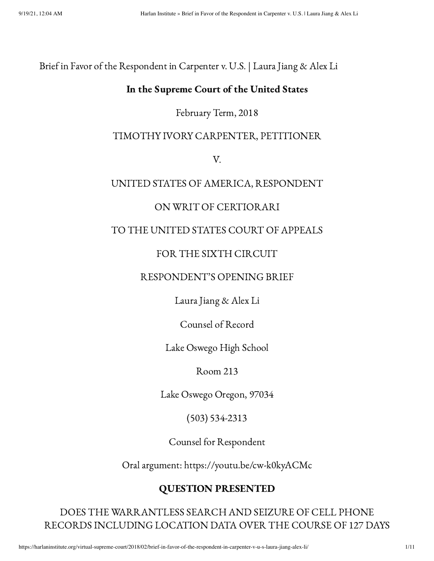Brief in Favor of the Respondent in Carpenter v. U.S. | Laura Jiang & Alex Li

## In the Supreme Court of the United States

## February Term, 2018

## TIMOTHY IVORY CARPENTER, PETITIONER

V.

## UNITED STATES OF AMERICA, RESPONDENT

## ON WRIT OF CERTIORARI

## TO THE UNITED STATES COURT OF APPEALS

## FOR THE SIXTH CIRCUIT

#### RESPONDENT'S OPENING BRIEF

Laura Jiang & Alex Li

Counsel of Record

Lake Oswego High School

Room 213

Lake Oswego Oregon, 97034

(503) 534-2313

Counsel for Respondent

Oral argument: https://youtu.be/cw-k0kyACMc

## QUESTION PRESENTED

DOES THE WARRANTLESS SEARCH AND SEIZURE OF CELL PHONE RECORDS INCLUDING LOCATION DATA OVER THE COURSE OF 127 DAYS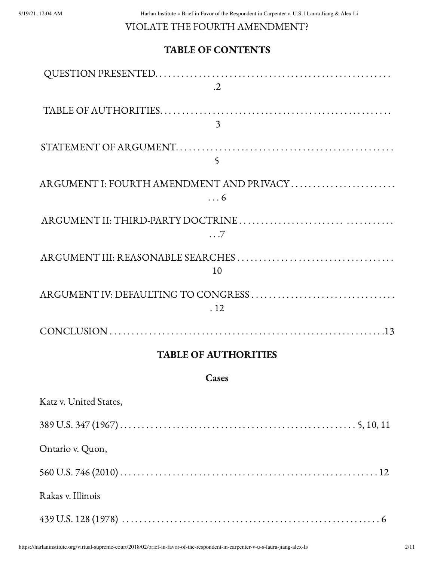## VIOLATE THE FOURTH AMENDMENT?

# TABLE OF CONTENTS

| $\cdot$ .2                               |
|------------------------------------------|
|                                          |
| 3                                        |
|                                          |
| 5                                        |
| ARGUMENT I: FOURTH AMENDMENT AND PRIVACY |
| $\ldots 6$                               |
|                                          |
| $\ldots 7$                               |
|                                          |
| 10                                       |
| ARGUMENT IV: DEFAULTING TO CONGRESS      |
| .12                                      |
|                                          |
| <b>TABLE OF AUTHORITIES</b>              |
| Cases                                    |

| Katz v. United States, |
|------------------------|
|                        |
| Ontario v. Quon,       |
|                        |
| Rakas v. Illinois      |
|                        |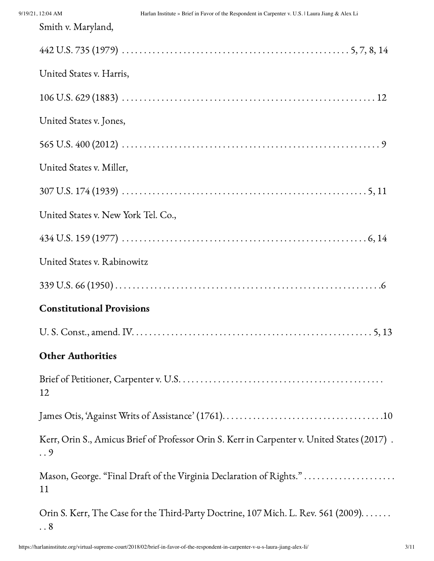| Smith v. Maryland,                                                                               |
|--------------------------------------------------------------------------------------------------|
|                                                                                                  |
| United States v. Harris,                                                                         |
|                                                                                                  |
| United States v. Jones,                                                                          |
|                                                                                                  |
| United States v. Miller,                                                                         |
|                                                                                                  |
| United States v. New York Tel. Co.,                                                              |
|                                                                                                  |
| United States v. Rabinowitz                                                                      |
|                                                                                                  |
| <b>Constitutional Provisions</b>                                                                 |
|                                                                                                  |
| <b>Other Authorities</b>                                                                         |
| 12                                                                                               |
|                                                                                                  |
| Kerr, Orin S., Amicus Brief of Professor Orin S. Kerr in Carpenter v. United States (2017).<br>9 |
| Mason, George. "Final Draft of the Virginia Declaration of Rights."<br>11                        |
| Orin S. Kerr, The Case for the Third-Party Doctrine, 107 Mich. L. Rev. 561 (2009)<br>$\ldots 8$  |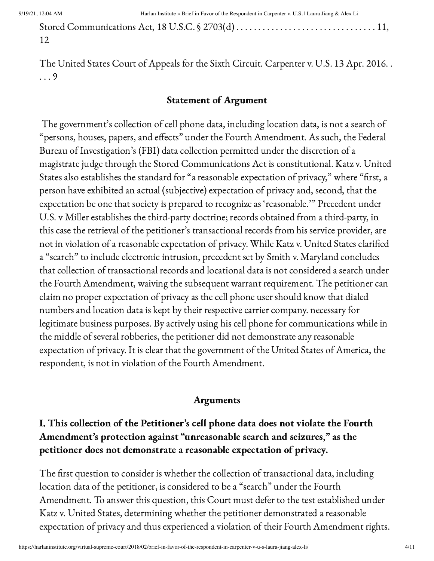Stored Communications Act, 18 U.S.C. § 2703(d) . . . . . . . . . . . . . . . . . . . . . . . . . . . . . . . . 11, 12

The United States Court of Appeals for the Sixth Circuit. Carpenter v. U.S. 13 Apr. 2016. . . . . 9

#### Statement of Argument

The government's collection of cell phone data, including location data, is not a search of "persons, houses, papers, and effects" under the Fourth Amendment. As such, the Federal Bureau of Investigation's (FBI) data collection permitted under the discretion of a magistrate judge through the Stored Communications Act is constitutional. Katz v. United States also establishes the standard for "a reasonable expectation of privacy," where "first, a person have exhibited an actual (subjective) expectation of privacy and, second, that the expectation be one that society is prepared to recognize as 'reasonable.'" Precedent under U.S. v Miller establishes the third-party doctrine; records obtained from a third-party, in this case the retrieval of the petitioner's transactional records from his service provider, are not in violation of a reasonable expectation of privacy. While Katz v. United States clarified a "search" to include electronic intrusion, precedent set by Smith v. Maryland concludes that collection of transactional records and locational data is not considered a search under the Fourth Amendment, waiving the subsequent warrant requirement. The petitioner can claim no proper expectation of privacy as the cell phone user should know that dialed numbers and location data is kept by their respective carrier company. necessary for legitimate business purposes. By actively using his cell phone for communications while in the middle of several robberies, the petitioner did not demonstrate any reasonable expectation of privacy. It is clear that the government of the United States of America, the respondent, is not in violation of the Fourth Amendment.

#### Arguments

# I. This collection of the Petitioner's cell phone data does not violate the Fourth Amendment's protection against "unreasonable search and seizures," as the petitioner does not demonstrate a reasonable expectation of privacy.

The first question to consider is whether the collection of transactional data, including location data of the petitioner, is considered to be a "search" under the Fourth Amendment. To answer this question, this Court must defer to the test established under Katz v. United States, determining whether the petitioner demonstrated a reasonable expectation of privacy and thus experienced a violation of their Fourth Amendment rights.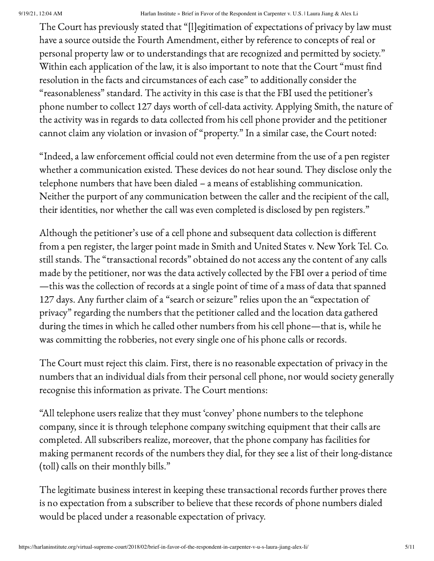The Court has previously stated that "[l]egitimation of expectations of privacy by law must have a source outside the Fourth Amendment, either by reference to concepts of real or personal property law or to understandings that are recognized and permitted by society." Within each application of the law, it is also important to note that the Court "must find resolution in the facts and circumstances of each case" to additionally consider the "reasonableness" standard. The activity in this case is that the FBI used the petitioner's phone number to collect 127 days worth of cell-data activity. Applying Smith, the nature of the activity was in regards to data collected from his cell phone provider and the petitioner cannot claim any violation or invasion of "property." In a similar case, the Court noted:

"Indeed, a law enforcement official could not even determine from the use of a pen register whether a communication existed. These devices do not hear sound. They disclose only the telephone numbers that have been dialed – a means of establishing communication. Neither the purport of any communication between the caller and the recipient of the call, their identities, nor whether the call was even completed is disclosed by pen registers."

Although the petitioner's use of a cell phone and subsequent data collection is different from a pen register, the larger point made in Smith and United States v. New York Tel. Co. still stands. The "transactional records" obtained do not access any the content of any calls made by the petitioner, nor was the data actively collected by the FBI over a period of time —this was the collection of records at a single point of time of a mass of data that spanned 127 days. Any further claim of a "search or seizure" relies upon the an "expectation of privacy" regarding the numbers that the petitioner called and the location data gathered during the times in which he called other numbers from his cell phone—that is, while he was committing the robberies, not every single one of his phone calls or records.

The Court must reject this claim. First, there is no reasonable expectation of privacy in the numbers that an individual dials from their personal cell phone, nor would society generally recognise this information as private. The Court mentions:

"All telephone users realize that they must 'convey' phone numbers to the telephone company, since it is through telephone company switching equipment that their calls are completed. All subscribers realize, moreover, that the phone company has facilities for making permanent records of the numbers they dial, for they see a list of their long-distance (toll) calls on their monthly bills."

The legitimate business interest in keeping these transactional records further proves there is no expectation from a subscriber to believe that these records of phone numbers dialed would be placed under a reasonable expectation of privacy.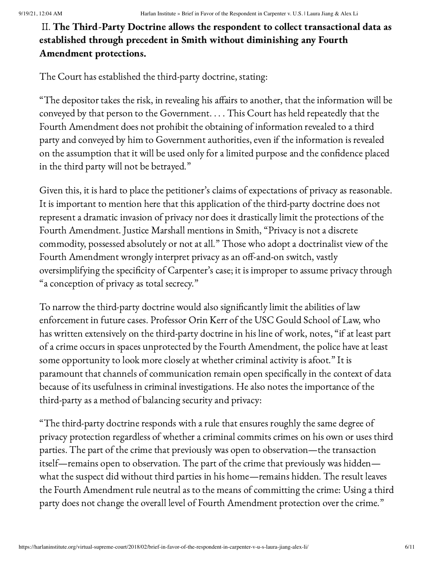# II. The Third-Party Doctrine allows the respondent to collect transactional data as established through precedent in Smith without diminishing any Fourth Amendment protections.

The Court has established the third-party doctrine, stating:

"The depositor takes the risk, in revealing his affairs to another, that the information will be conveyed by that person to the Government. . . . This Court has held repeatedly that the Fourth Amendment does not prohibit the obtaining of information revealed to a third party and conveyed by him to Government authorities, even if the information is revealed on the assumption that it will be used only for a limited purpose and the confidence placed in the third party will not be betrayed."

Given this, it is hard to place the petitioner's claims of expectations of privacy as reasonable. It is important to mention here that this application of the third-party doctrine does not represent a dramatic invasion of privacy nor does it drastically limit the protections of the Fourth Amendment. Justice Marshall mentions in Smith, "Privacy is not a discrete commodity, possessed absolutely or not at all." Those who adopt a doctrinalist view of the Fourth Amendment wrongly interpret privacy as an off-and-on switch, vastly oversimplifying the specificity of Carpenter's case; it is improper to assume privacy through "a conception of privacy as total secrecy."

To narrow the third-party doctrine would also significantly limit the abilities of law enforcement in future cases. Professor Orin Kerr of the USC Gould School of Law, who has written extensively on the third-party doctrine in his line of work, notes, "if at least part of a crime occurs in spaces unprotected by the Fourth Amendment, the police have at least some opportunity to look more closely at whether criminal activity is afoot." It is paramount that channels of communication remain open specifically in the context of data because of its usefulness in criminal investigations. He also notes the importance of the third-party as a method of balancing security and privacy:

"The third-party doctrine responds with a rule that ensures roughly the same degree of privacy protection regardless of whether a criminal commits crimes on his own or uses third parties. The part of the crime that previously was open to observation—the transaction itself—remains open to observation. The part of the crime that previously was hidden what the suspect did without third parties in his home—remains hidden. The result leaves the Fourth Amendment rule neutral as to the means of committing the crime: Using a third party does not change the overall level of Fourth Amendment protection over the crime."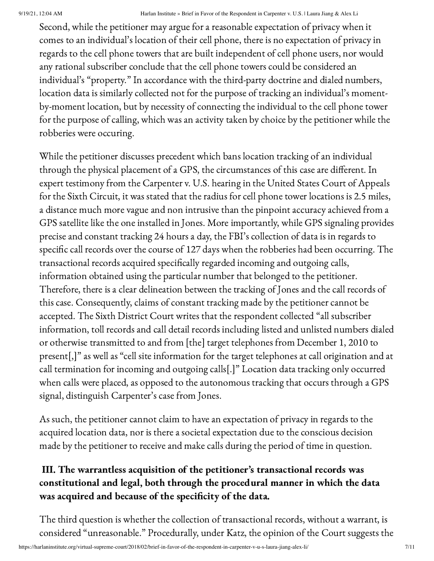Second, while the petitioner may argue for a reasonable expectation of privacy when it comes to an individual's location of their cell phone, there is no expectation of privacy in regards to the cell phone towers that are built independent of cell phone users, nor would any rational subscriber conclude that the cell phone towers could be considered an individual's "property." In accordance with the third-party doctrine and dialed numbers, location data is similarly collected not for the purpose of tracking an individual's momentby-moment location, but by necessity of connecting the individual to the cell phone tower for the purpose of calling, which was an activity taken by choice by the petitioner while the robberies were occuring.

While the petitioner discusses precedent which bans location tracking of an individual through the physical placement of a GPS, the circumstances of this case are different. In expert testimony from the Carpenter v. U.S. hearing in the United States Court of Appeals for the Sixth Circuit, it was stated that the radius for cell phone tower locations is 2.5 miles, a distance much more vague and non intrusive than the pinpoint accuracy achieved from a GPS satellite like the one installed in Jones. More importantly, while GPS signaling provides precise and constant tracking 24 hours a day, the FBI's collection of data is in regards to specific call records over the course of 127 days when the robberies had been occurring. The transactional records acquired specifically regarded incoming and outgoing calls, information obtained using the particular number that belonged to the petitioner. Therefore, there is a clear delineation between the tracking of Jones and the call records of this case. Consequently, claims of constant tracking made by the petitioner cannot be accepted. The Sixth District Court writes that the respondent collected "all subscriber information, toll records and call detail records including listed and unlisted numbers dialed or otherwise transmitted to and from [the] target telephones from December 1, 2010 to present[,]" as well as "cell site information for the target telephones at call origination and at call termination for incoming and outgoing calls[.]" Location data tracking only occurred when calls were placed, as opposed to the autonomous tracking that occurs through a GPS signal, distinguish Carpenter's case from Jones.

As such, the petitioner cannot claim to have an expectation of privacy in regards to the acquired location data, nor is there a societal expectation due to the conscious decision made by the petitioner to receive and make calls during the period of time in question.

# III. The warrantless acquisition of the petitioner's transactional records was constitutional and legal, both through the procedural manner in which the data was acquired and because of the specificity of the data.

The third question is whether the collection of transactional records, without a warrant, is considered "unreasonable." Procedurally, under Katz, the opinion of the Court suggests the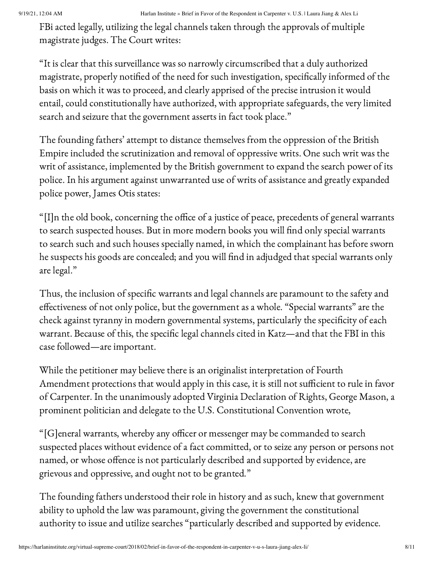FBi acted legally, utilizing the legal channels taken through the approvals of multiple magistrate judges. The Court writes:

"It is clear that this surveillance was so narrowly circumscribed that a duly authorized magistrate, properly notified of the need for such investigation, specifically informed of the basis on which it was to proceed, and clearly apprised of the precise intrusion it would entail, could constitutionally have authorized, with appropriate safeguards, the very limited search and seizure that the government asserts in fact took place."

The founding fathers' attempt to distance themselves from the oppression of the British Empire included the scrutinization and removal of oppressive writs. One such writ was the writ of assistance, implemented by the British government to expand the search power of its police. In his argument against unwarranted use of writs of assistance and greatly expanded police power, James Otis states:

"[I]n the old book, concerning the office of a justice of peace, precedents of general warrants to search suspected houses. But in more modern books you will find only special warrants to search such and such houses specially named, in which the complainant has before sworn he suspects his goods are concealed; and you will find in adjudged that special warrants only are legal."

Thus, the inclusion of specific warrants and legal channels are paramount to the safety and effectiveness of not only police, but the government as a whole. "Special warrants" are the check against tyranny in modern governmental systems, particularly the specificity of each warrant. Because of this, the specific legal channels cited in Katz—and that the FBI in this case followed—are important.

While the petitioner may believe there is an originalist interpretation of Fourth Amendment protections that would apply in this case, it is still not sufficient to rule in favor of Carpenter. In the unanimously adopted Virginia Declaration of Rights, George Mason, a prominent politician and delegate to the U.S. Constitutional Convention wrote,

"[G]eneral warrants, whereby any officer or messenger may be commanded to search suspected places without evidence of a fact committed, or to seize any person or persons not named, or whose offence is not particularly described and supported by evidence, are grievous and oppressive, and ought not to be granted."

The founding fathers understood their role in history and as such, knew that government ability to uphold the law was paramount, giving the government the constitutional authority to issue and utilize searches "particularly described and supported by evidence.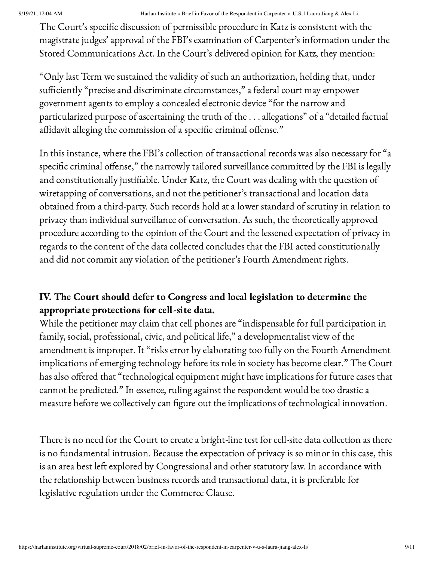The Court's specific discussion of permissible procedure in Katz is consistent with the magistrate judges' approval of the FBI's examination of Carpenter's information under the Stored Communications Act. In the Court's delivered opinion for Katz, they mention:

"Only last Term we sustained the validity of such an authorization, holding that, under sufficiently "precise and discriminate circumstances," a federal court may empower government agents to employ a concealed electronic device "for the narrow and particularized purpose of ascertaining the truth of the . . . allegations" of a "detailed factual affidavit alleging the commission of a specific criminal offense."

In this instance, where the FBI's collection of transactional records was also necessary for "a specific criminal offense," the narrowly tailored surveillance committed by the FBI is legally and constitutionally justifiable. Under Katz, the Court was dealing with the question of wiretapping of conversations, and not the petitioner's transactional and location data obtained from a third-party. Such records hold at a lower standard of scrutiny in relation to privacy than individual surveillance of conversation. As such, the theoretically approved procedure according to the opinion of the Court and the lessened expectation of privacy in regards to the content of the data collected concludes that the FBI acted constitutionally and did not commit any violation of the petitioner's Fourth Amendment rights.

# IV. The Court should defer to Congress and local legislation to determine the appropriate protections for cell-site data.

While the petitioner may claim that cell phones are "indispensable for full participation in family, social, professional, civic, and political life," a developmentalist view of the amendment is improper. It "risks error by elaborating too fully on the Fourth Amendment implications of emerging technology before its role in society has become clear." The Court has also offered that "technological equipment might have implications for future cases that cannot be predicted." In essence, ruling against the respondent would be too drastic a measure before we collectively can figure out the implications of technological innovation.

There is no need for the Court to create a bright-line test for cell-site data collection as there is no fundamental intrusion. Because the expectation of privacy is so minor in this case, this is an area best left explored by Congressional and other statutory law. In accordance with the relationship between business records and transactional data, it is preferable for legislative regulation under the Commerce Clause.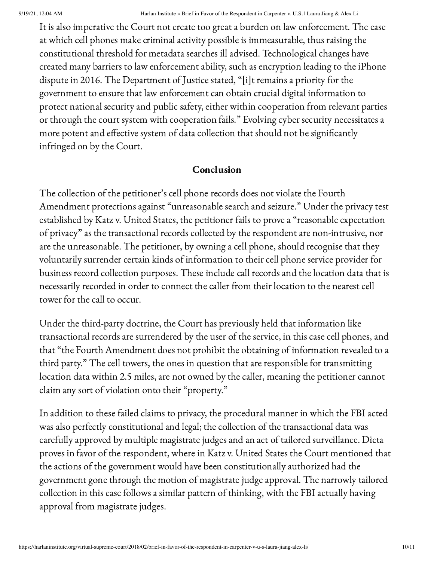It is also imperative the Court not create too great a burden on law enforcement. The ease at which cell phones make criminal activity possible is immeasurable, thus raising the constitutional threshold for metadata searches ill advised. Technological changes have created many barriers to law enforcement ability, such as encryption leading to the iPhone dispute in 2016. The Department of Justice stated, "[i]t remains a priority for the government to ensure that law enforcement can obtain crucial digital information to protect national security and public safety, either within cooperation from relevant parties or through the court system with cooperation fails." Evolving cyber security necessitates a more potent and effective system of data collection that should not be significantly infringed on by the Court.

## Conclusion

The collection of the petitioner's cell phone records does not violate the Fourth Amendment protections against "unreasonable search and seizure." Under the privacy test established by Katz v. United States, the petitioner fails to prove a "reasonable expectation of privacy" as the transactional records collected by the respondent are non-intrusive, nor are the unreasonable. The petitioner, by owning a cell phone, should recognise that they voluntarily surrender certain kinds of information to their cell phone service provider for business record collection purposes. These include call records and the location data that is necessarily recorded in order to connect the caller from their location to the nearest cell tower for the call to occur.

Under the third-party doctrine, the Court has previously held that information like transactional records are surrendered by the user of the service, in this case cell phones, and that "the Fourth Amendment does not prohibit the obtaining of information revealed to a third party." The cell towers, the ones in question that are responsible for transmitting location data within 2.5 miles, are not owned by the caller, meaning the petitioner cannot claim any sort of violation onto their "property."

In addition to these failed claims to privacy, the procedural manner in which the FBI acted was also perfectly constitutional and legal; the collection of the transactional data was carefully approved by multiple magistrate judges and an act of tailored surveillance. Dicta proves in favor of the respondent, where in Katz v. United States the Court mentioned that the actions of the government would have been constitutionally authorized had the government gone through the motion of magistrate judge approval. The narrowly tailored collection in this case follows a similar pattern of thinking, with the FBI actually having approval from magistrate judges.